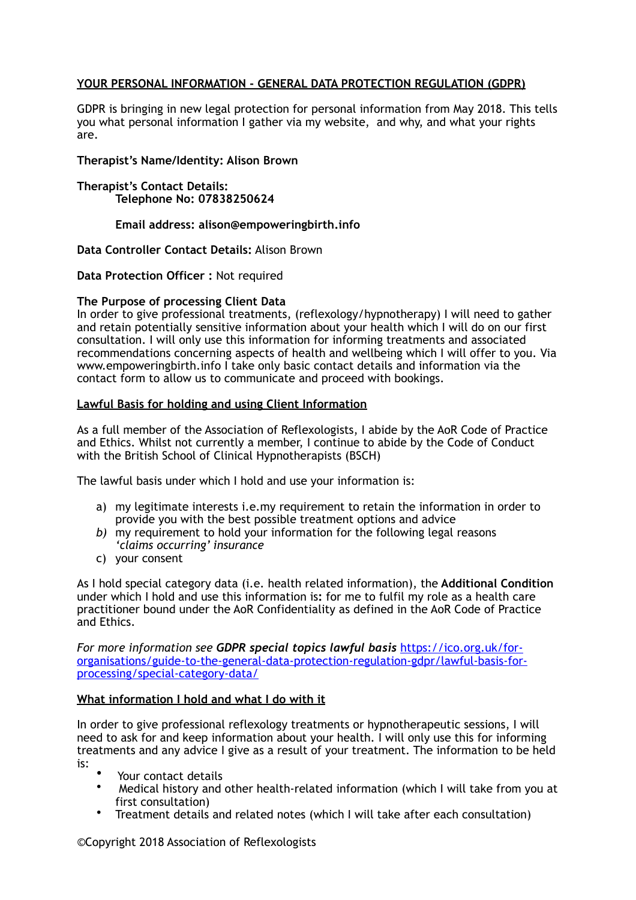# **YOUR PERSONAL INFORMATION - GENERAL DATA PROTECTION REGULATION (GDPR)**

GDPR is bringing in new legal protection for personal information from May 2018. This tells you what personal information I gather via my website, and why, and what your rights are.

**Therapist's Name/Identity: Alison Brown** 

**Therapist's Contact Details: Telephone No: 07838250624** 

## **Email address: alison@empoweringbirth.info**

**Data Controller Contact Details:** Alison Brown

**Data Protection Officer :** Not required

### **The Purpose of processing Client Data**

In order to give professional treatments, (reflexology/hypnotherapy) I will need to gather and retain potentially sensitive information about your health which I will do on our first consultation. I will only use this information for informing treatments and associated recommendations concerning aspects of health and wellbeing which I will offer to you. Via www.empoweringbirth.info I take only basic contact details and information via the contact form to allow us to communicate and proceed with bookings.

### **Lawful Basis for holding and using Client Information**

As a full member of the Association of Reflexologists, I abide by the AoR Code of Practice and Ethics. Whilst not currently a member, I continue to abide by the Code of Conduct with the British School of Clinical Hypnotherapists (BSCH)

The lawful basis under which I hold and use your information is:

- a) my legitimate interests i.e.my requirement to retain the information in order to provide you with the best possible treatment options and advice
- *b)* my requirement to hold your information for the following legal reasons *'claims occurring' insurance*
- c) your consent

As I hold special category data (i.e. health related information), the **Additional Condition**  under which I hold and use this information is**:** for me to fulfil my role as a health care practitioner bound under the AoR Confidentiality as defined in the AoR Code of Practice and Ethics.

*For more information see GDPR special topics lawful basis* [https://ico.org.uk/for](https://ico.org.uk/for-organisations/guide-to-the-general-data-protection-regulation-gdpr/lawful-basis-for-processing/special-category-data/)[organisations/guide-to-the-general-data-protection-regulation-gdpr/lawful-basis-for](https://ico.org.uk/for-organisations/guide-to-the-general-data-protection-regulation-gdpr/lawful-basis-for-processing/special-category-data/)[processing/special-category-data/](https://ico.org.uk/for-organisations/guide-to-the-general-data-protection-regulation-gdpr/lawful-basis-for-processing/special-category-data/)

# **What information I hold and what I do with it**

In order to give professional reflexology treatments or hypnotherapeutic sessions, I will need to ask for and keep information about your health. I will only use this for informing treatments and any advice I give as a result of your treatment. The information to be held

- is: Your contact details
	- Medical history and other health-related information (which I will take from you at first consultation)
	- Treatment details and related notes (which I will take after each consultation)

©Copyright 2018 Association of Reflexologists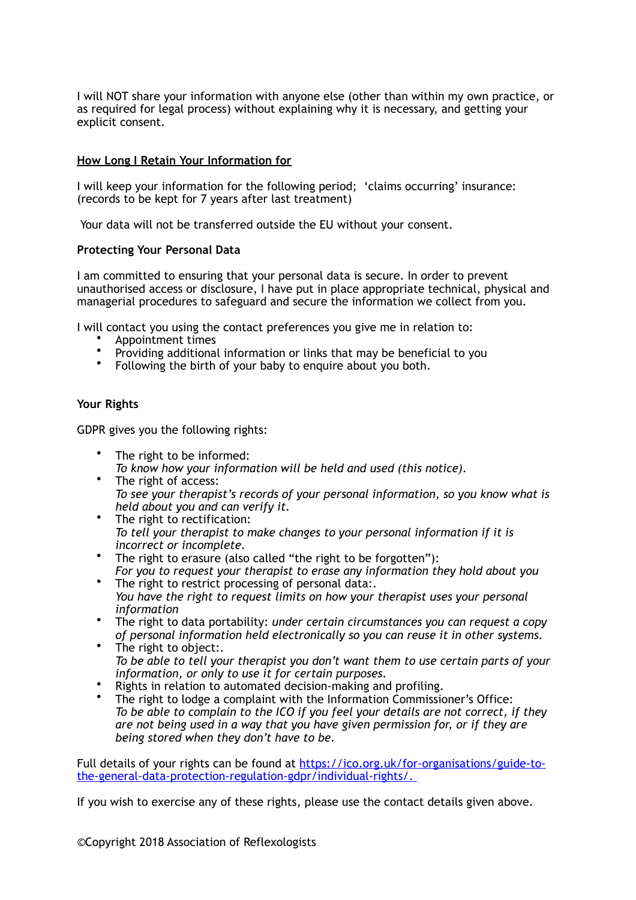I will NOT share your information with anyone else (other than within my own practice, or as required for legal process) without explaining why it is necessary, and getting your explicit consent.

### **How Long I Retain Your Information for**

I will keep your information for the following period; 'claims occurring' insurance: (records to be kept for 7 years after last treatment)

Your data will not be transferred outside the EU without your consent.

### **Protecting Your Personal Data**

I am committed to ensuring that your personal data is secure. In order to prevent unauthorised access or disclosure, I have put in place appropriate technical, physical and managerial procedures to safeguard and secure the information we collect from you.

I will contact you using the contact preferences you give me in relation to:

- Appointment times
- Providing additional information or links that may be beneficial to you
- Following the birth of your baby to enquire about you both.

### **Your Rights**

GDPR gives you the following rights:

- The right to be informed: *To know how your information will be held and used (this notice).*
- The right of access: *To see your therapist's records of your personal information, so you know what is held about you and can verify it.*
- The right to rectification: *To tell your therapist to make changes to your personal information if it is incorrect or incomplete.*
- The right to erasure (also called "the right to be forgotten"):
- *For you to request your therapist to erase any information they hold about you* • The right to restrict processing of personal data:
- *You have the right to request limits on how your therapist uses your personal information*
- The right to data portability: *under certain circumstances you can request a copy of personal information held electronically so you can reuse it in other systems.*
- The right to object:. *To be able to tell your therapist you don't want them to use certain parts of your information, or only to use it for certain purposes.*
- Rights in relation to automated decision-making and profiling.
- The right to lodge a complaint with the Information Commissioner's Office: *To be able to complain to the ICO if you feel your details are not correct, if they are not being used in a way that you have given permission for, or if they are being stored when they don't have to be.*

[Full details of your rights can be found at https://ico.org.uk/for-organisations/guide-to](https://ico.org.uk/for-organisations/guide-to-the-general-data-protection-regulation-gdpr/individual-rights/)[the-general-data-protection-regulation-gdpr/individual-rights/.](https://ico.org.uk/for-organisations/guide-to-the-general-data-protection-regulation-gdpr/individual-rights/)

If you wish to exercise any of these rights, please use the contact details given above.